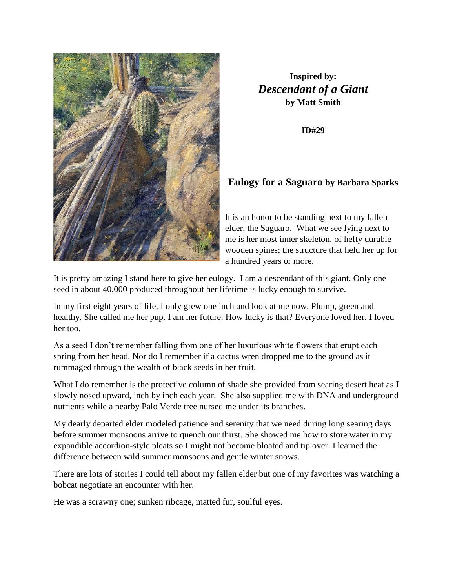

## **Inspired by:** *Descendant of a Giant* **by Matt Smith**

**ID#29**

## **Eulogy for a Saguaro by Barbara Sparks**

It is an honor to be standing next to my fallen elder, the Saguaro. What we see lying next to me is her most inner skeleton, of hefty durable wooden spines; the structure that held her up for a hundred years or more.

It is pretty amazing I stand here to give her eulogy. I am a descendant of this giant. Only one seed in about 40,000 produced throughout her lifetime is lucky enough to survive.

In my first eight years of life, I only grew one inch and look at me now. Plump, green and healthy. She called me her pup. I am her future. How lucky is that? Everyone loved her. I loved her too.

As a seed I don't remember falling from one of her luxurious white flowers that erupt each spring from her head. Nor do I remember if a cactus wren dropped me to the ground as it rummaged through the wealth of black seeds in her fruit.

What I do remember is the protective column of shade she provided from searing desert heat as I slowly nosed upward, inch by inch each year. She also supplied me with DNA and underground nutrients while a nearby Palo Verde tree nursed me under its branches.

My dearly departed elder modeled patience and serenity that we need during long searing days before summer monsoons arrive to quench our thirst. She showed me how to store water in my expandible accordion-style pleats so I might not become bloated and tip over. I learned the difference between wild summer monsoons and gentle winter snows.

There are lots of stories I could tell about my fallen elder but one of my favorites was watching a bobcat negotiate an encounter with her.

He was a scrawny one; sunken ribcage, matted fur, soulful eyes.